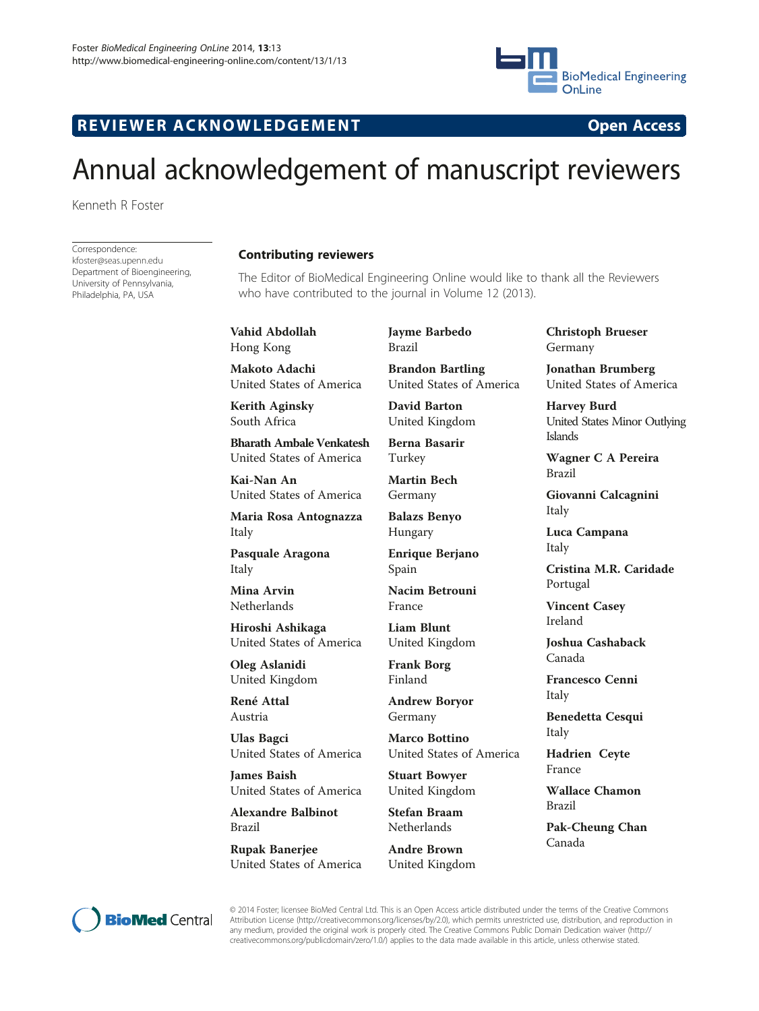

## R EVI EW E R ACKNOW L EDG EM EN T Open Access

# Annual acknowledgement of manuscript reviewers

Kenneth R Foster

Correspondence: [kfoster@seas.upenn.edu](mailto:kfoster@seas.upenn.edu) Department of Bioengineering, University of Pennsylvania, Philadelphia, PA, USA

### Contributing reviewers

The Editor of BioMedical Engineering Online would like to thank all the Reviewers who have contributed to the journal in Volume 12 (2013).

Vahid Abdollah Hong Kong

Makoto Adachi United States of America

Kerith Aginsky South Africa

Bharath Ambale Venkatesh United States of America

Kai-Nan An United States of America

Maria Rosa Antognazza Italy

Pasquale Aragona Italy

Mina Arvin Netherlands

Hiroshi Ashikaga United States of America

Oleg Aslanidi United Kingdom

René Attal Austria

Ulas Bagci United States of America

James Baish United States of America

Alexandre Balbinot Brazil

Rupak Banerjee United States of America Jayme Barbedo Brazil

Brandon Bartling United States of America

David Barton United Kingdom

Berna Basarir Turkey

Martin Bech Germany

Balazs Benyo Hungary

Enrique Berjano Spain

Nacim Betrouni France

Liam Blunt United Kingdom

Frank Borg Finland

Andrew Boryor Germany

Marco Bottino United States of America

Stuart Bowyer United Kingdom

Stefan Braam Netherlands

Andre Brown United Kingdom Christoph Brueser Germany

Jonathan Brumberg United States of America

Harvey Burd United States Minor Outlying Islands

Wagner C A Pereira Brazil

Giovanni Calcagnini Italy

Luca Campana Italy

Cristina M.R. Caridade Portugal

Vincent Casey Ireland

Joshua Cashaback Canada

Francesco Cenni Italy

Benedetta Cesqui Italy

Hadrien Ceyte France

Wallace Chamon Brazil

Pak-Cheung Chan Canada



© 2014 Foster; licensee BioMed Central Ltd. This is an Open Access article distributed under the terms of the Creative Commons Attribution License (<http://creativecommons.org/licenses/by/2.0>), which permits unrestricted use, distribution, and reproduction in any medium, provided the original work is properly cited. The Creative Commons Public Domain Dedication waiver ([http://](http://creativecommons.org/publicdomain/zero/1.0/) [creativecommons.org/publicdomain/zero/1.0/\)](http://creativecommons.org/publicdomain/zero/1.0/) applies to the data made available in this article, unless otherwise stated.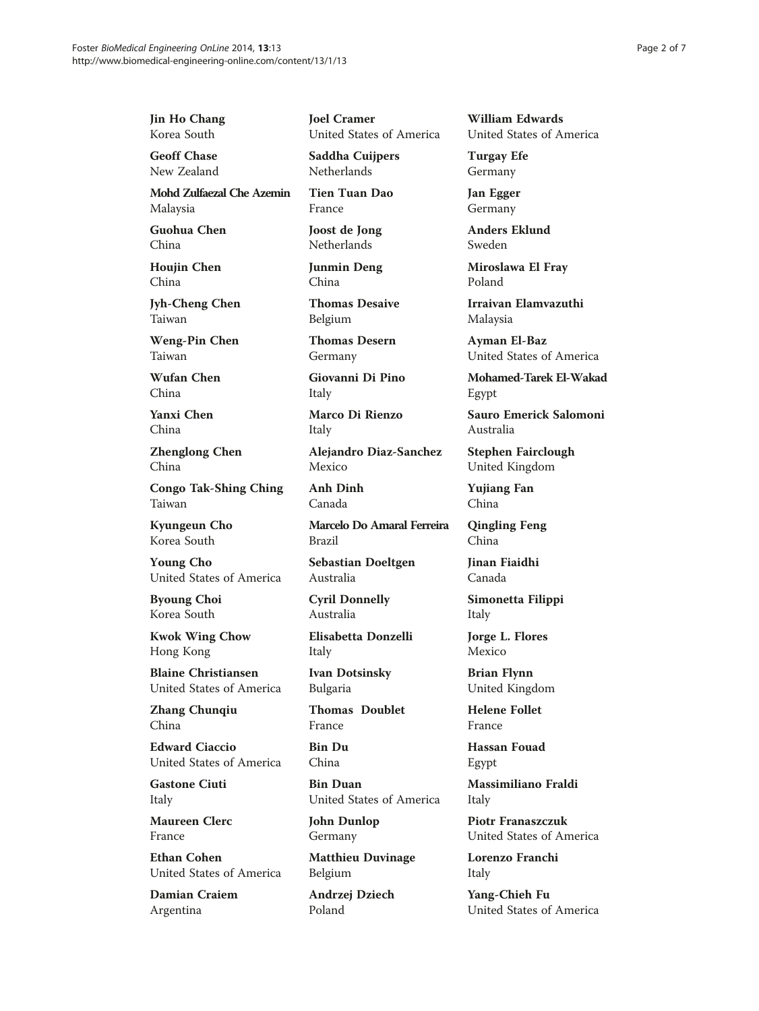Jin Ho Chang Korea South

Geoff Chase New Zealand

Mohd Zulfaezal Che Azemin Malaysia

Guohua Chen China

Houjin Chen China

Jyh-Cheng Chen Taiwan

Weng-Pin Chen Taiwan

Wufan Chen China

Yanxi Chen China

Zhenglong Chen China

Congo Tak-Shing Ching Taiwan

Kyungeun Cho Korea South

Young Cho United States of America

Byoung Choi Korea South

Kwok Wing Chow Hong Kong

Blaine Christiansen United States of America

Zhang Chunqiu China

Edward Ciaccio United States of America

Gastone Ciuti Italy

Maureen Clerc France

Ethan Cohen United States of America

Damian Craiem Argentina

Joel Cramer United States of America

Saddha Cuijpers Netherlands

Tien Tuan Dao France

Joost de Jong Netherlands

Junmin Deng China

Thomas Desaive Belgium

Thomas Desern Germany

Giovanni Di Pino Italy

Marco Di Rienzo Italy

Alejandro Diaz-Sanchez Mexico

Anh Dinh Canada

Marcelo Do Amaral Ferreira Brazil

Sebastian Doeltgen Australia

Cyril Donnelly Australia

Elisabetta Donzelli Italy

Ivan Dotsinsky Bulgaria

Thomas Doublet France

Bin Du China

Bin Duan United States of America

John Dunlop Germany

Matthieu Duvinage Belgium

Andrzej Dziech Poland

William Edwards United States of America

Turgay Efe Germany

Jan Egger Germany

Anders Eklund Sweden

Miroslawa El Fray Poland

Irraivan Elamvazuthi Malaysia

Ayman El-Baz United States of America

Mohamed-Tarek El-Wakad Egypt

Sauro Emerick Salomoni Australia

Stephen Fairclough United Kingdom

Yujiang Fan China

Qingling Feng China

Jinan Fiaidhi Canada

Simonetta Filippi Italy

Jorge L. Flores Mexico

Brian Flynn United Kingdom

Helene Follet France

Hassan Fouad Egypt

Massimiliano Fraldi Italy

Piotr Franaszczuk United States of America

Lorenzo Franchi Italy

Yang-Chieh Fu United States of America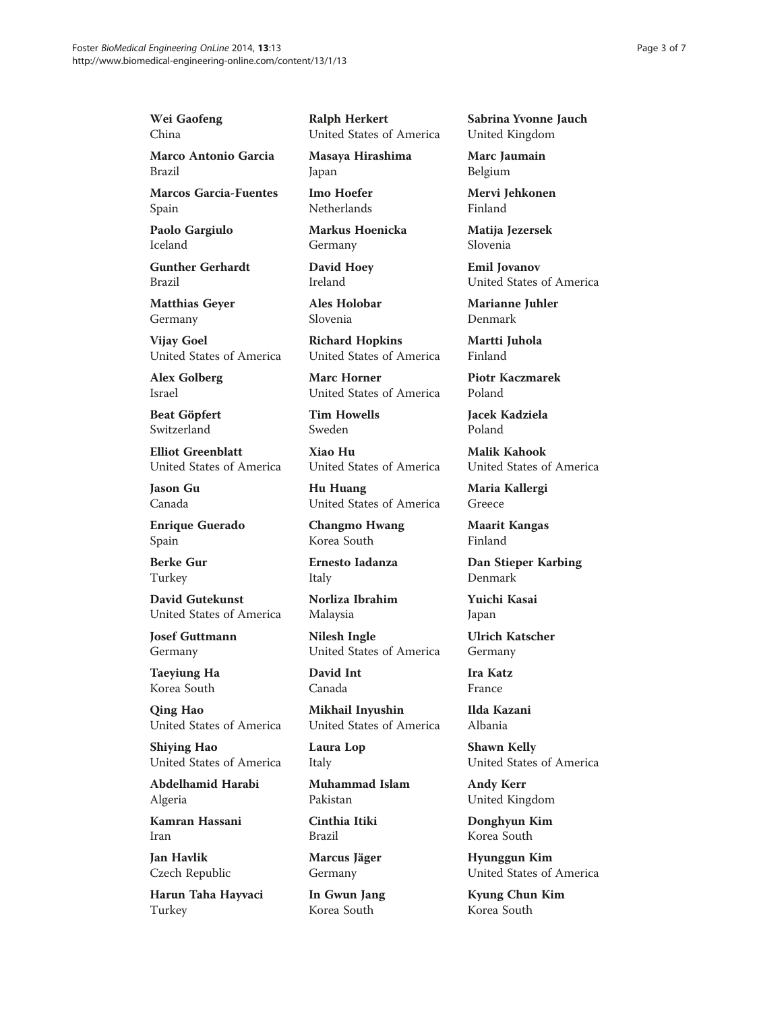Wei Gaofeng China

Marco Antonio Garcia Brazil

Marcos Garcia-Fuentes Spain

Paolo Gargiulo Iceland

Gunther Gerhardt Brazil

Matthias Geyer Germany

Vijay Goel United States of America

Alex Golberg Israel

Beat Göpfert Switzerland

Elliot Greenblatt United States of America

Jason Gu Canada

Enrique Guerado Spain

Berke Gur Turkey

David Gutekunst United States of America

Josef Guttmann Germany

Taeyiung Ha Korea South

Qing Hao United States of America

Shiying Hao United States of America

Abdelhamid Harabi Algeria

Kamran Hassani Iran

Jan Havlik Czech Republic

Harun Taha Hayvaci Turkey

Ralph Herkert United States of America

Masaya Hirashima Japan

Imo Hoefer Netherlands

Markus Hoenicka Germany

David Hoey Ireland

Ales Holobar Slovenia

Richard Hopkins United States of America

Marc Horner United States of America

Tim Howells Sweden

Xiao Hu United States of America

Hu Huang United States of America

Changmo Hwang Korea South

Ernesto Iadanza Italy

Norliza Ibrahim Malaysia

Nilesh Ingle United States of America

David Int Canada

Mikhail Inyushin United States of America

Laura Lop Italy

Muhammad Islam Pakistan

Cinthia Itiki Brazil

Marcus Jäger Germany

In Gwun Jang Korea South

Sabrina Yvonne Jauch United Kingdom

Marc Jaumain Belgium

Mervi Jehkonen Finland

Matija Jezersek Slovenia

Emil Jovanov United States of America

Marianne Juhler Denmark

Martti Juhola Finland

Piotr Kaczmarek Poland

Jacek Kadziela Poland

Malik Kahook United States of America

Maria Kallergi Greece

Maarit Kangas Finland

Dan Stieper Karbing Denmark

Yuichi Kasai Japan

Ulrich Katscher Germany

Ira Katz France

Ilda Kazani Albania

Shawn Kelly United States of America

Andy Kerr United Kingdom

Donghyun Kim Korea South

Hyunggun Kim United States of America

Kyung Chun Kim Korea South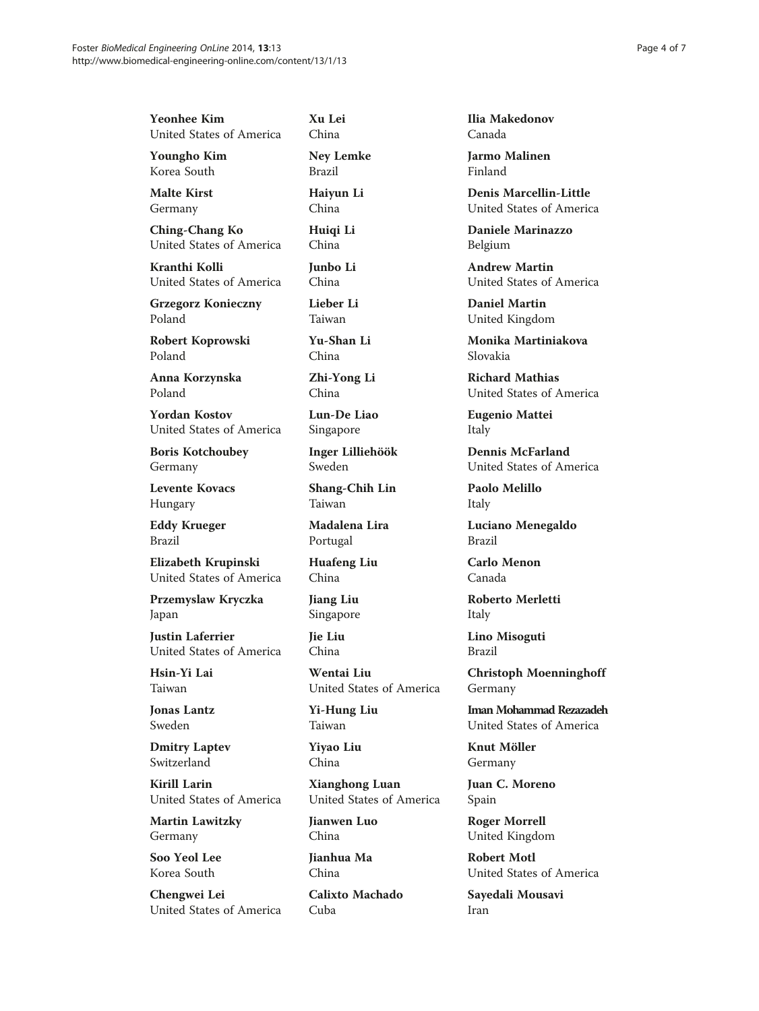| <b>Yeonhee Kim</b>                     | Ž |
|----------------------------------------|---|
| United States of America               | C |
| <b>Youngho Kim</b>                     | ľ |
| Korea South                            | F |
| <b>Malte Kirst</b>                     | I |
| Germany                                | C |
| <b>Ching-Chang Ko</b>                  | I |
| United States of America               | C |
| Kranthi Kolli                          | J |
| United States of America               | C |
| <b>Grzegorz Konieczny</b>              | I |
| Poland                                 | Ί |
| $\mathbf{D}$ $\mathbf{I}$ $\mathbf{I}$ | ◥ |

Robert Koprowski Poland

Anna Korzynska Poland

Yordan Kostov United States of America

Boris Kotchoubey Germany

Levente Kovacs Hungary

Eddy Krueger Brazil

Elizabeth Krupinski United States of America

Przemyslaw Kryczka Japan

Justin Laferrier United States of America

Hsin-Yi Lai Taiwan

Jonas Lantz Sweden

Dmitry Laptev Switzerland

Kirill Larin United States of America

Martin Lawitzky Germany

Soo Yeol Lee Korea South

Chengwei Lei United States of America Xu Lei China

Ney Lemke Brazil

Haiyun Li China

Huiqi Li China

unbo Li China

Lieber Li Taiwan

Yu-Shan Li China

Zhi-Yong Li China

Lun-De Liao Singapore

Inger Lilliehöök Sweden

Shang-Chih Lin Taiwan

Madalena Lira Portugal

Huafeng Liu China

Jiang Liu Singapore

Jie Liu China

Wentai Liu United States of America

Yi-Hung Liu Taiwan

Yiyao Liu China

Xianghong Luan United States of America

Jianwen Luo China

Jianhua Ma China

Calixto Machado Cuba

Ilia Makedonov Canada

Jarmo Malinen Finland

Denis Marcellin-Little United States of America

Daniele Marinazzo Belgium

Andrew Martin United States of America

Daniel Martin United Kingdom

Monika Martiniakova Slovakia

Richard Mathias United States of America

Eugenio Mattei Italy

Dennis McFarland United States of America

Paolo Melillo Italy

Luciano Menegaldo Brazil

Carlo Menon Canada

Roberto Merletti Italy

Lino Misoguti Brazil

Christoph Moenninghoff Germany

Iman Mohammad Rezazadeh United States of America

Knut Möller Germany

Juan C. Moreno Spain

Roger Morrell United Kingdom

Robert Motl United States of America

Sayedali Mousavi Iran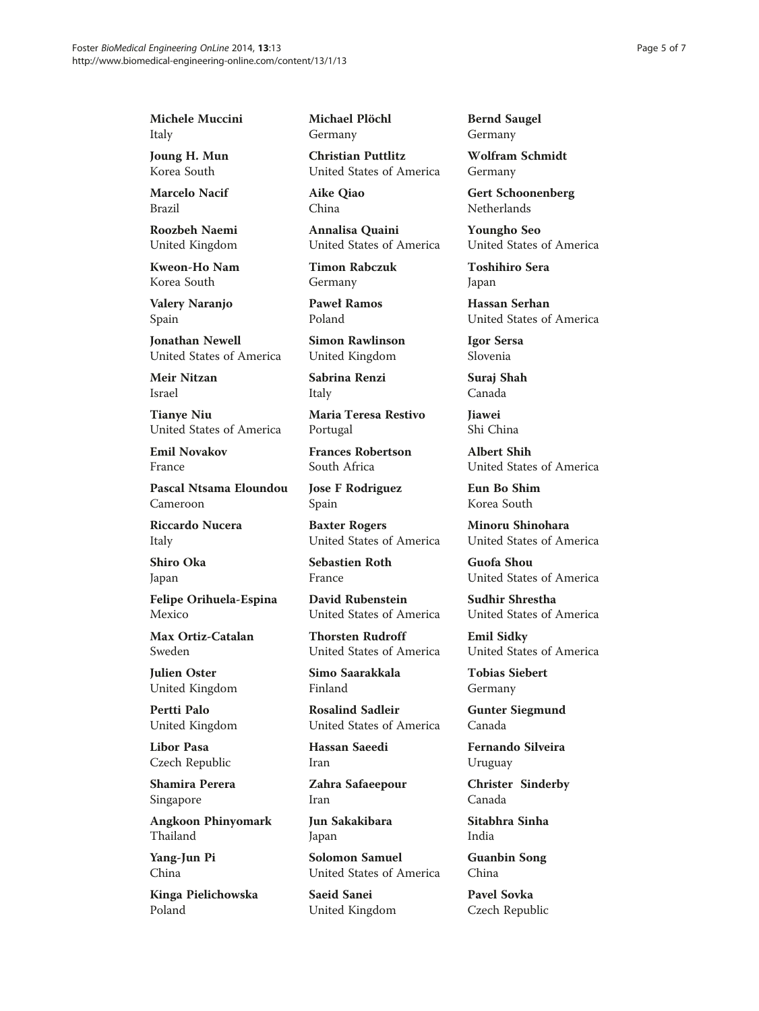Michele Muccini Italy

Joung H. Mun Korea South

Marcelo Nacif Brazil

Roozbeh Naemi United Kingdom

Kweon-Ho Nam Korea South

Valery Naranjo Spain

Jonathan Newell United States of America

Meir Nitzan Israel

Tianye Niu United States of America

Emil Novakov France

Pascal Ntsama Eloundou Cameroon

Riccardo Nucera Italy

Shiro Oka Japan

Felipe Orihuela-Espina Mexico

Max Ortiz-Catalan Sweden

Julien Oster United Kingdom

Pertti Palo United Kingdom

Libor Pasa Czech Republic

Shamira Perera Singapore

Angkoon Phinyomark Thailand

Yang-Jun Pi China

Kinga Pielichowska Poland

Michael Plöchl Germany

Christian Puttlitz United States of America

Aike Qiao China

Annalisa Quaini United States of America

Timon Rabczuk Germany

Paweł Ramos Poland

Simon Rawlinson United Kingdom

Sabrina Renzi Italy

Maria Teresa Restivo Portugal

Frances Robertson South Africa

Jose F Rodriguez Spain

Baxter Rogers United States of America

Sebastien Roth France

David Rubenstein United States of America

Thorsten Rudroff United States of America

Simo Saarakkala Finland

Rosalind Sadleir United States of America

Hassan Saeedi Iran

Zahra Safaeepour Iran

Jun Sakakibara Japan

Solomon Samuel United States of America

Saeid Sanei United Kingdom Bernd Saugel Germany

Wolfram Schmidt Germany

Gert Schoonenberg Netherlands

Youngho Seo United States of America

Toshihiro Sera Japan

Hassan Serhan United States of America

Igor Sersa Slovenia

Suraj Shah Canada

Jiawei Shi China

Albert Shih United States of America

Eun Bo Shim Korea South

Minoru Shinohara United States of America

Guofa Shou United States of America

Sudhir Shrestha United States of America

Emil Sidky United States of America

Tobias Siebert Germany

Gunter Siegmund Canada

Fernando Silveira Uruguay

Christer Sinderby Canada

Sitabhra Sinha India

Guanbin Song China

Pavel Sovka Czech Republic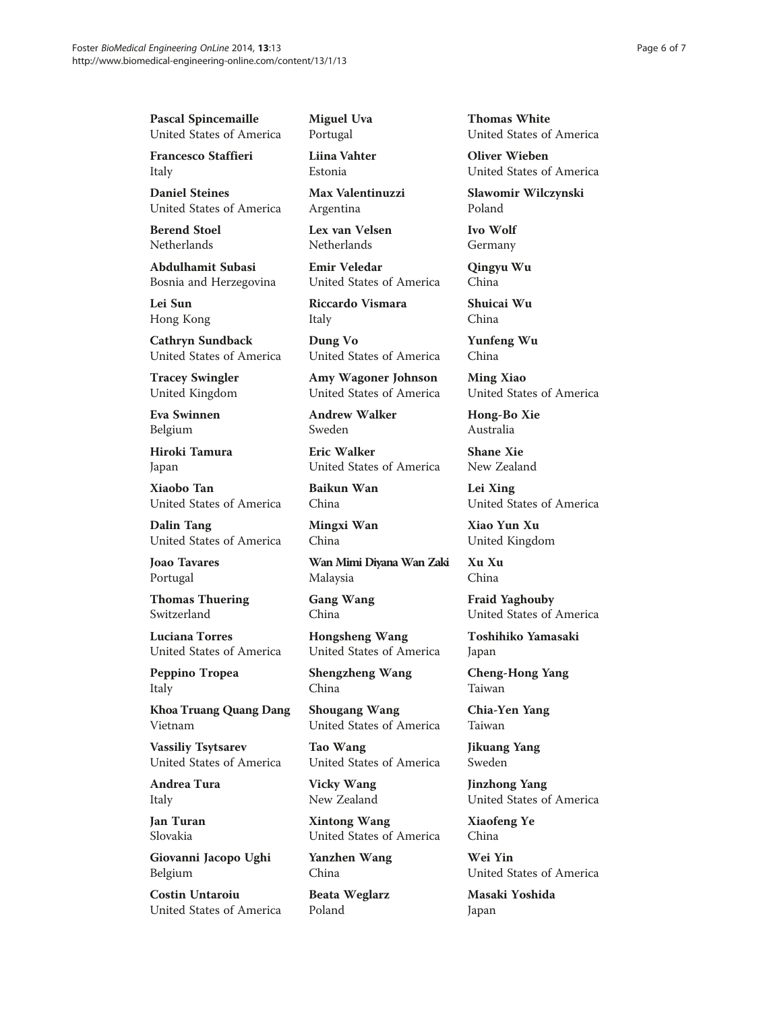Pascal Spincemaille United States of America

Francesco Staffieri Italy

Daniel Steines United States of America

Berend Stoel Netherlands

Abdulhamit Subasi Bosnia and Herzegovina

Lei Sun Hong Kong

Cathryn Sundback United States of America

Tracey Swingler United Kingdom

Eva Swinnen Belgium

Hiroki Tamura Japan

Xiaobo Tan United States of America

Dalin Tang United States of America

Joao Tavares Portugal

Thomas Thuering Switzerland

Luciana Torres United States of America

Peppino Tropea Italy

Khoa Truang Quang Dang Vietnam

Vassiliy Tsytsarev United States of America

Andrea Tura Italy

Jan Turan Slovakia

Giovanni Jacopo Ughi Belgium

Costin Untaroiu United States of America Miguel Uva Portugal

Liina Vahter Estonia

Max Valentinuzzi Argentina

Lex van Velsen **Netherlands** 

Emir Veledar United States of America

Riccardo Vismara Italy

Dung Vo United States of America

Amy Wagoner Johnson United States of America

Andrew Walker Sweden

Eric Walker United States of America

Baikun Wan China

Mingxi Wan China

Wan Mimi Diyana Wan Zaki Malaysia

Gang Wang China

Hongsheng Wang United States of America

Shengzheng Wang China

Shougang Wang United States of America

Tao Wang United States of America

Vicky Wang New Zealand

Xintong Wang United States of America

Yanzhen Wang China

Beata Weglarz Poland

Thomas White United States of America

Oliver Wieben United States of America

Slawomir Wilczynski Poland

Ivo Wolf Germany

Qingyu Wu China

Shuicai Wu China

Yunfeng Wu China

Ming Xiao United States of America

Hong-Bo Xie Australia

Shane Xie New Zealand

Lei Xing United States of America

Xiao Yun Xu United Kingdom

Xu Xu China

Fraid Yaghouby United States of America

Toshihiko Yamasaki Japan

Cheng-Hong Yang Taiwan

Chia-Yen Yang Taiwan

Jikuang Yang Sweden

Jinzhong Yang United States of America

Xiaofeng Ye China

Wei Yin United States of America

Masaki Yoshida Japan